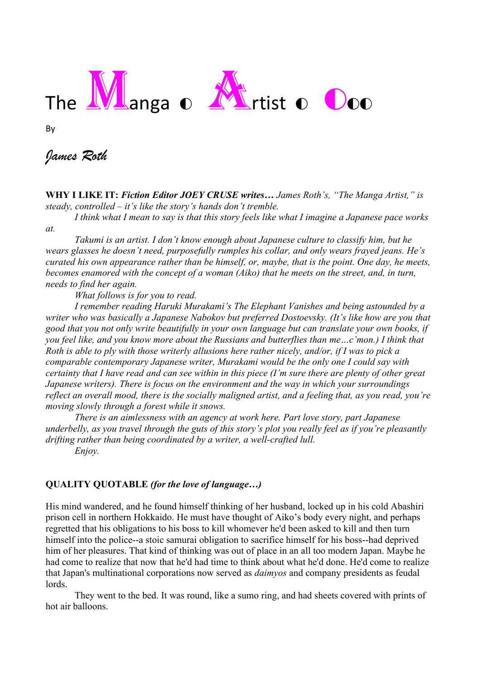## The **Manga** of **Artist o** Ooo

By

## *James Roth*

**WHY I LIKE IT:** *Fiction Editor JOEY CRUSE writes… James Roth's, "The Manga Artist," is steady, controlled – it's like the story's hands don't tremble.*

*I think what I mean to say is that this story feels like what I imagine a Japanese pace works* 

*at.*

*Takumi is an artist. I don't know enough about Japanese culture to classify him, but he wears glasses he doesn't need, purposefully rumples his collar, and only wears frayed jeans. He's curated his own appearance rather than be himself, or, maybe, that is the point. One day, he meets, becomes enamored with the concept of a woman (Aiko) that he meets on the street, and, in turn, needs to find her again.*

*What follows is for you to read.* 

*I remember reading Haruki Murakami's The Elephant Vanishes and being astounded by a writer who was basically a Japanese Nabokov but preferred Dostoevsky. (It's like how are you that good that you not only write beautifully in your own language but can translate your own books, if you feel like, and you know more about the Russians and butterflies than me…c'mon.) I think that Roth is able to ply with those writerly allusions here rather nicely, and/or, if I was to pick a comparable contemporary Japanese writer, Murakami would be the only one I could say with certainty that I have read and can see within in this piece (I'm sure there are plenty of other great Japanese writers). There is focus on the environment and the way in which your surroundings reflect an overall mood, there is the socially maligned artist, and a feeling that, as you read, you're moving slowly through a forest while it snows.* 

*There is an aimlessness with an agency at work here. Part love story, part Japanese underbelly, as you travel through the guts of this story's plot you really feel as if you're pleasantly drifting rather than being coordinated by a writer, a well-crafted lull.*

*Enjoy.* 

## **QUALITY QUOTABLE** *(for the love of language…)*

His mind wandered, and he found himself thinking of her husband, locked up in his cold Abashiri prison cell in northern Hokkaido. He must have thought of Aiko's body every night, and perhaps regretted that his obligations to his boss to kill whomever he'd been asked to kill and then turn himself into the police--a stoic samurai obligation to sacrifice himself for his boss--had deprived him of her pleasures. That kind of thinking was out of place in an all too modern Japan. Maybe he had come to realize that now that he'd had time to think about what he'd done. He'd come to realize that Japan's multinational corporations now served as *daimyos* and company presidents as feudal lords.

They went to the bed. It was round, like a sumo ring, and had sheets covered with prints of hot air balloons.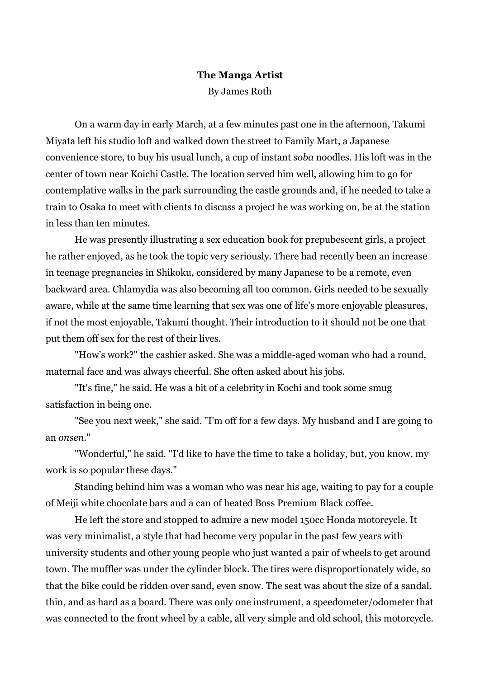## **The Manga Artist** By James Roth

On a warm day in early March, at a few minutes past one in the afternoon, Takumi Miyata left his studio loft and walked down the street to Family Mart, a Japanese convenience store, to buy his usual lunch, a cup of instant *soba* noodles. His loft was in the center of town near Koichi Castle. The location served him well, allowing him to go for contemplative walks in the park surrounding the castle grounds and, if he needed to take a train to Osaka to meet with clients to discuss a project he was working on, be at the station in less than ten minutes.

He was presently illustrating a sex education book for prepubescent girls, a project he rather enjoyed, as he took the topic very seriously. There had recently been an increase in teenage pregnancies in Shikoku, considered by many Japanese to be a remote, even backward area. Chlamydia was also becoming all too common. Girls needed to be sexually aware, while at the same time learning that sex was one of life's more enjoyable pleasures, if not the most enjoyable, Takumi thought. Their introduction to it should not be one that put them off sex for the rest of their lives.

"How's work?" the cashier asked. She was a middle-aged woman who had a round, maternal face and was always cheerful. She often asked about his jobs.

"It's fine," he said. He was a bit of a celebrity in Kochi and took some smug satisfaction in being one.

"See you next week," she said. "I'm off for a few days. My husband and I are going to an *onsen*."

"Wonderful," he said. "I'd like to have the time to take a holiday, but, you know, my work is so popular these days."

Standing behind him was a woman who was near his age, waiting to pay for a couple of Meiji white chocolate bars and a can of heated Boss Premium Black coffee.

He left the store and stopped to admire a new model 150cc Honda motorcycle. It was very minimalist, a style that had become very popular in the past few years with university students and other young people who just wanted a pair of wheels to get around town. The muffler was under the cylinder block. The tires were disproportionately wide, so that the bike could be ridden over sand, even snow. The seat was about the size of a sandal, thin, and as hard as a board. There was only one instrument, a speedometer/odometer that was connected to the front wheel by a cable, all very simple and old school, this motorcycle.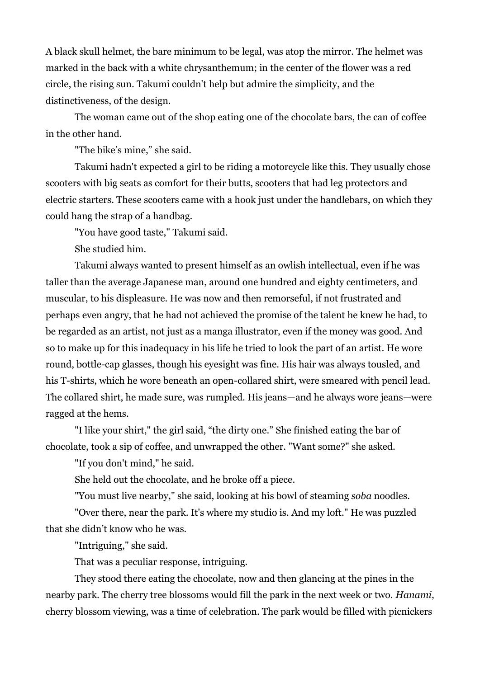A black skull helmet, the bare minimum to be legal, was atop the mirror. The helmet was marked in the back with a white chrysanthemum; in the center of the flower was a red circle, the rising sun. Takumi couldn't help but admire the simplicity, and the distinctiveness, of the design.

The woman came out of the shop eating one of the chocolate bars, the can of coffee in the other hand.

"The bike's mine," she said.

Takumi hadn't expected a girl to be riding a motorcycle like this. They usually chose scooters with big seats as comfort for their butts, scooters that had leg protectors and electric starters. These scooters came with a hook just under the handlebars, on which they could hang the strap of a handbag.

"You have good taste," Takumi said.

She studied him.

Takumi always wanted to present himself as an owlish intellectual, even if he was taller than the average Japanese man, around one hundred and eighty centimeters, and muscular, to his displeasure. He was now and then remorseful, if not frustrated and perhaps even angry, that he had not achieved the promise of the talent he knew he had, to be regarded as an artist, not just as a manga illustrator, even if the money was good. And so to make up for this inadequacy in his life he tried to look the part of an artist. He wore round, bottle-cap glasses, though his eyesight was fine. His hair was always tousled, and his T-shirts, which he wore beneath an open-collared shirt, were smeared with pencil lead. The collared shirt, he made sure, was rumpled. His jeans—and he always wore jeans—were ragged at the hems.

"I like your shirt," the girl said, "the dirty one." She finished eating the bar of chocolate, took a sip of coffee, and unwrapped the other. "Want some?" she asked.

"If you don't mind," he said.

She held out the chocolate, and he broke off a piece.

"You must live nearby," she said, looking at his bowl of steaming *soba* noodles.

"Over there, near the park. It's where my studio is. And my loft." He was puzzled that she didn't know who he was.

"Intriguing," she said.

That was a peculiar response, intriguing.

They stood there eating the chocolate, now and then glancing at the pines in the nearby park. The cherry tree blossoms would fill the park in the next week or two. *Hanami*, cherry blossom viewing, was a time of celebration. The park would be filled with picnickers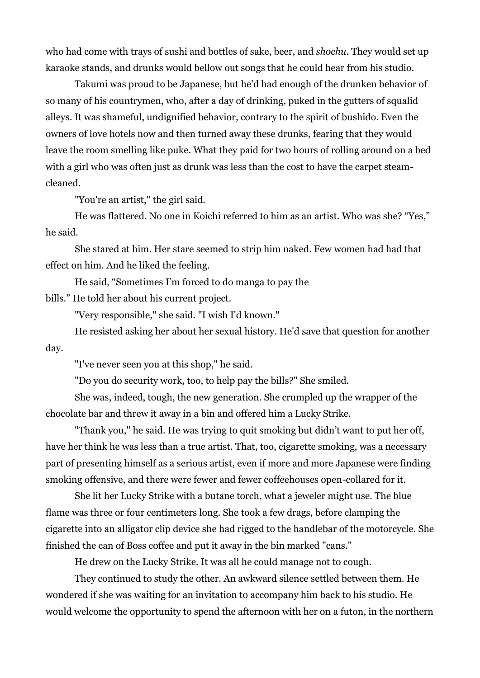who had come with trays of sushi and bottles of sake, beer, and *shochu*. They would set up karaoke stands, and drunks would bellow out songs that he could hear from his studio.

Takumi was proud to be Japanese, but he'd had enough of the drunken behavior of so many of his countrymen, who, after a day of drinking, puked in the gutters of squalid alleys. It was shameful, undignified behavior, contrary to the spirit of bushido. Even the owners of love hotels now and then turned away these drunks, fearing that they would leave the room smelling like puke. What they paid for two hours of rolling around on a bed with a girl who was often just as drunk was less than the cost to have the carpet steamcleaned.

"You're an artist," the girl said.

He was flattered. No one in Koichi referred to him as an artist. Who was she? "Yes," he said.

She stared at him. Her stare seemed to strip him naked. Few women had had that effect on him. And he liked the feeling.

He said, "Sometimes I'm forced to do manga to pay the

bills." He told her about his current project.

"Very responsible," she said. "I wish I'd known."

He resisted asking her about her sexual history. He'd save that question for another day.

"I've never seen you at this shop," he said.

"Do you do security work, too, to help pay the bills?" She smiled.

She was, indeed, tough, the new generation. She crumpled up the wrapper of the chocolate bar and threw it away in a bin and offered him a Lucky Strike.

"Thank you," he said. He was trying to quit smoking but didn't want to put her off, have her think he was less than a true artist. That, too, cigarette smoking, was a necessary part of presenting himself as a serious artist, even if more and more Japanese were finding smoking offensive, and there were fewer and fewer coffeehouses open-collared for it.

She lit her Lucky Strike with a butane torch, what a jeweler might use. The blue flame was three or four centimeters long. She took a few drags, before clamping the cigarette into an alligator clip device she had rigged to the handlebar of the motorcycle. She finished the can of Boss coffee and put it away in the bin marked "cans."

He drew on the Lucky Strike. It was all he could manage not to cough.

They continued to study the other. An awkward silence settled between them. He wondered if she was waiting for an invitation to accompany him back to his studio. He would welcome the opportunity to spend the afternoon with her on a futon, in the northern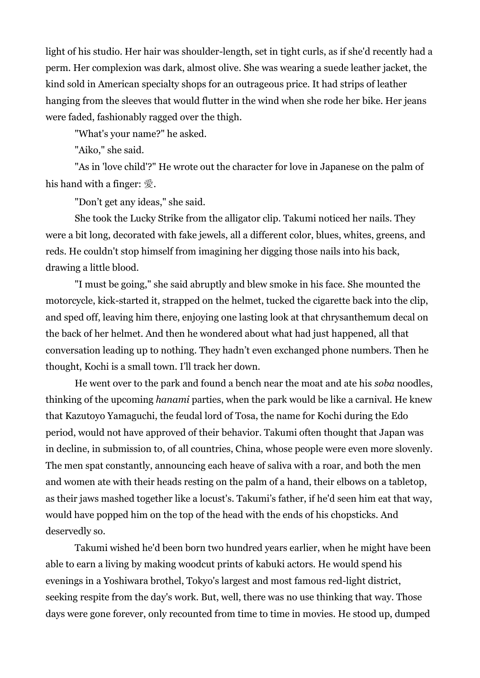light of his studio. Her hair was shoulder-length, set in tight curls, as if she'd recently had a perm. Her complexion was dark, almost olive. She was wearing a suede leather jacket, the kind sold in American specialty shops for an outrageous price. It had strips of leather hanging from the sleeves that would flutter in the wind when she rode her bike. Her jeans were faded, fashionably ragged over the thigh.

"What's your name?" he asked.

"Aiko," she said.

"As in 'love child'?" He wrote out the character for love in Japanese on the palm of his hand with a finger: 愛.

"Don't get any ideas," she said.

She took the Lucky Strike from the alligator clip. Takumi noticed her nails. They were a bit long, decorated with fake jewels, all a different color, blues, whites, greens, and reds. He couldn't stop himself from imagining her digging those nails into his back, drawing a little blood.

"I must be going," she said abruptly and blew smoke in his face. She mounted the motorcycle, kick-started it, strapped on the helmet, tucked the cigarette back into the clip, and sped off, leaving him there, enjoying one lasting look at that chrysanthemum decal on the back of her helmet. And then he wondered about what had just happened, all that conversation leading up to nothing. They hadn't even exchanged phone numbers. Then he thought, Kochi is a small town. I'll track her down.

He went over to the park and found a bench near the moat and ate his *soba* noodles, thinking of the upcoming *hanami* parties, when the park would be like a carnival. He knew that Kazutoyo Yamaguchi, the feudal lord of Tosa, the name for Kochi during the Edo period, would not have approved of their behavior. Takumi often thought that Japan was in decline, in submission to, of all countries, China, whose people were even more slovenly. The men spat constantly, announcing each heave of saliva with a roar, and both the men and women ate with their heads resting on the palm of a hand, their elbows on a tabletop, as their jaws mashed together like a locust's. Takumi's father, if he'd seen him eat that way, would have popped him on the top of the head with the ends of his chopsticks. And deservedly so.

Takumi wished he'd been born two hundred years earlier, when he might have been able to earn a living by making woodcut prints of kabuki actors. He would spend his evenings in a Yoshiwara brothel, Tokyo's largest and most famous red-light district, seeking respite from the day's work. But, well, there was no use thinking that way. Those days were gone forever, only recounted from time to time in movies. He stood up, dumped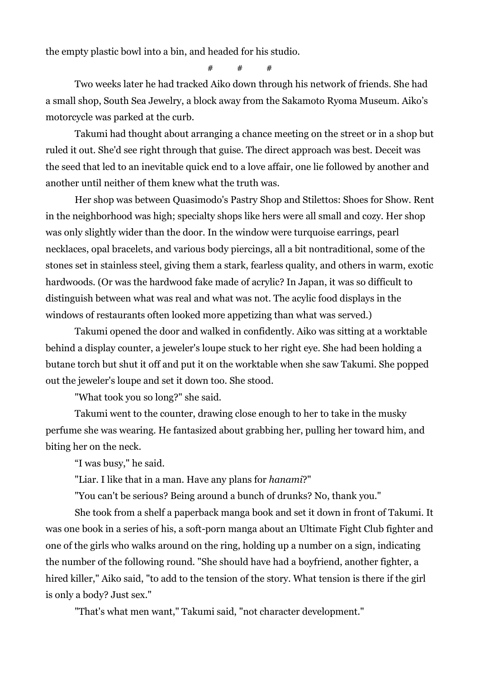the empty plastic bowl into a bin, and headed for his studio.

 $#$  #  $#$ 

Two weeks later he had tracked Aiko down through his network of friends. She had a small shop, South Sea Jewelry, a block away from the Sakamoto Ryoma Museum. Aiko's motorcycle was parked at the curb.

Takumi had thought about arranging a chance meeting on the street or in a shop but ruled it out. She'd see right through that guise. The direct approach was best. Deceit was the seed that led to an inevitable quick end to a love affair, one lie followed by another and another until neither of them knew what the truth was.

Her shop was between Quasimodo's Pastry Shop and Stilettos: Shoes for Show. Rent in the neighborhood was high; specialty shops like hers were all small and cozy. Her shop was only slightly wider than the door. In the window were turquoise earrings, pearl necklaces, opal bracelets, and various body piercings, all a bit nontraditional, some of the stones set in stainless steel, giving them a stark, fearless quality, and others in warm, exotic hardwoods. (Or was the hardwood fake made of acrylic? In Japan, it was so difficult to distinguish between what was real and what was not. The acylic food displays in the windows of restaurants often looked more appetizing than what was served.)

Takumi opened the door and walked in confidently. Aiko was sitting at a worktable behind a display counter, a jeweler's loupe stuck to her right eye. She had been holding a butane torch but shut it off and put it on the worktable when she saw Takumi. She popped out the jeweler's loupe and set it down too. She stood.

"What took you so long?" she said.

Takumi went to the counter, drawing close enough to her to take in the musky perfume she was wearing. He fantasized about grabbing her, pulling her toward him, and biting her on the neck.

"I was busy," he said.

"Liar. I like that in a man. Have any plans for *hanami*?"

"You can't be serious? Being around a bunch of drunks? No, thank you."

She took from a shelf a paperback manga book and set it down in front of Takumi. It was one book in a series of his, a soft-porn manga about an Ultimate Fight Club fighter and one of the girls who walks around on the ring, holding up a number on a sign, indicating the number of the following round. "She should have had a boyfriend, another fighter, a hired killer," Aiko said, "to add to the tension of the story. What tension is there if the girl is only a body? Just sex."

"That's what men want," Takumi said, "not character development."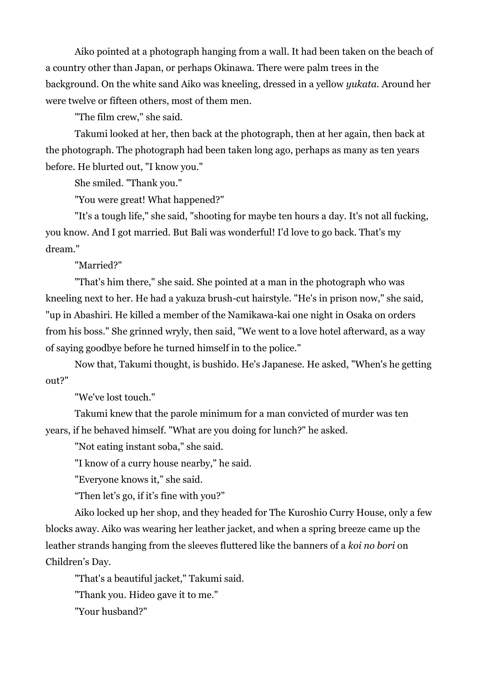Aiko pointed at a photograph hanging from a wall. It had been taken on the beach of a country other than Japan, or perhaps Okinawa. There were palm trees in the background. On the white sand Aiko was kneeling, dressed in a yellow *yukata.* Around her were twelve or fifteen others, most of them men.

"The film crew," she said.

Takumi looked at her, then back at the photograph, then at her again, then back at the photograph. The photograph had been taken long ago, perhaps as many as ten years before. He blurted out, "I know you."

She smiled. "Thank you."

"You were great! What happened?"

"It's a tough life," she said, "shooting for maybe ten hours a day. It's not all fucking, you know. And I got married. But Bali was wonderful! I'd love to go back. That's my dream."

"Married?"

"That's him there," she said. She pointed at a man in the photograph who was kneeling next to her. He had a yakuza brush-cut hairstyle. "He's in prison now," she said, "up in Abashiri. He killed a member of the Namikawa-kai one night in Osaka on orders from his boss." She grinned wryly, then said, "We went to a love hotel afterward, as a way of saying goodbye before he turned himself in to the police."

Now that, Takumi thought, is bushido. He's Japanese. He asked, "When's he getting out?"

"We've lost touch."

Takumi knew that the parole minimum for a man convicted of murder was ten years, if he behaved himself. "What are you doing for lunch?" he asked.

"Not eating instant soba," she said.

"I know of a curry house nearby," he said.

"Everyone knows it," she said.

"Then let's go, if it's fine with you?"

Aiko locked up her shop, and they headed for The Kuroshio Curry House, only a few blocks away. Aiko was wearing her leather jacket, and when a spring breeze came up the leather strands hanging from the sleeves fluttered like the banners of a *koi no bori* on Children's Day.

"That's a beautiful jacket," Takumi said.

"Thank you. Hideo gave it to me."

"Your husband?"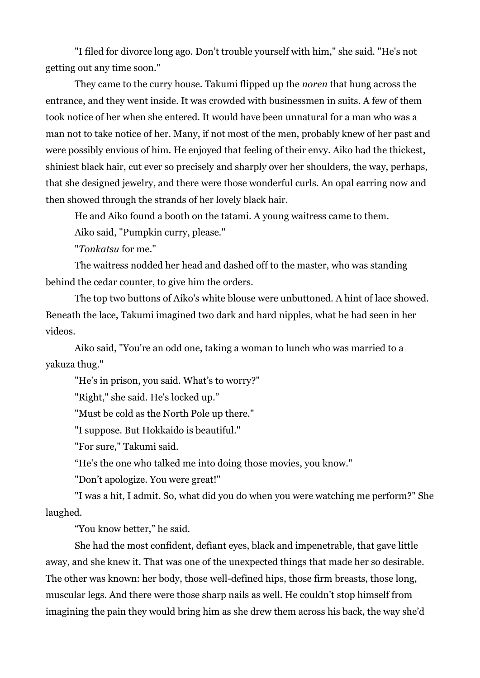"I filed for divorce long ago. Don't trouble yourself with him," she said. "He's not getting out any time soon."

They came to the curry house. Takumi flipped up the *noren* that hung across the entrance, and they went inside. It was crowded with businessmen in suits. A few of them took notice of her when she entered. It would have been unnatural for a man who was a man not to take notice of her. Many, if not most of the men, probably knew of her past and were possibly envious of him. He enjoyed that feeling of their envy. Aiko had the thickest, shiniest black hair, cut ever so precisely and sharply over her shoulders, the way, perhaps, that she designed jewelry, and there were those wonderful curls. An opal earring now and then showed through the strands of her lovely black hair.

He and Aiko found a booth on the tatami. A young waitress came to them.

Aiko said, "Pumpkin curry, please."

"*Tonkatsu* for me."

The waitress nodded her head and dashed off to the master, who was standing behind the cedar counter, to give him the orders.

The top two buttons of Aiko's white blouse were unbuttoned. A hint of lace showed. Beneath the lace, Takumi imagined two dark and hard nipples, what he had seen in her videos.

Aiko said, "You're an odd one, taking a woman to lunch who was married to a yakuza thug."

"He's in prison, you said. What's to worry?"

"Right," she said. He's locked up."

"Must be cold as the North Pole up there."

"I suppose. But Hokkaido is beautiful."

"For sure," Takumi said.

"He's the one who talked me into doing those movies, you know."

"Don't apologize. You were great!"

"I was a hit, I admit. So, what did you do when you were watching me perform?" She laughed.

"You know better," he said.

She had the most confident, defiant eyes, black and impenetrable, that gave little away, and she knew it. That was one of the unexpected things that made her so desirable. The other was known: her body, those well-defined hips, those firm breasts, those long, muscular legs. And there were those sharp nails as well. He couldn't stop himself from imagining the pain they would bring him as she drew them across his back, the way she'd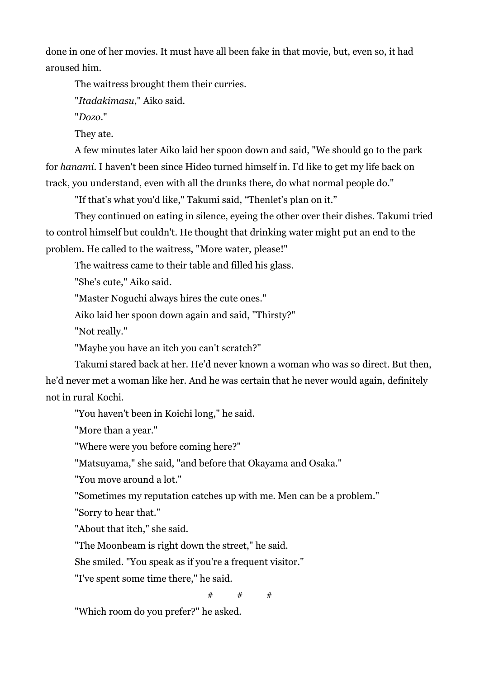done in one of her movies. It must have all been fake in that movie, but, even so, it had aroused him.

The waitress brought them their curries.

"*Itadakimasu*," Aiko said.

"*Dozo*."

They ate.

A few minutes later Aiko laid her spoon down and said, "We should go to the park for *hanami*. I haven't been since Hideo turned himself in. I'd like to get my life back on track, you understand, even with all the drunks there, do what normal people do."

"If that's what you'd like," Takumi said, "Thenlet's plan on it."

They continued on eating in silence, eyeing the other over their dishes. Takumi tried to control himself but couldn't. He thought that drinking water might put an end to the problem. He called to the waitress, "More water, please!"

The waitress came to their table and filled his glass.

"She's cute," Aiko said.

"Master Noguchi always hires the cute ones."

Aiko laid her spoon down again and said, "Thirsty?"

"Not really."

"Maybe you have an itch you can't scratch?"

Takumi stared back at her. He'd never known a woman who was so direct. But then, he'd never met a woman like her. And he was certain that he never would again, definitely not in rural Kochi.

"You haven't been in Koichi long," he said.

"More than a year."

"Where were you before coming here?"

"Matsuyama," she said, "and before that Okayama and Osaka."

"You move around a lot."

"Sometimes my reputation catches up with me. Men can be a problem."

"Sorry to hear that."

"About that itch," she said.

"The Moonbeam is right down the street," he said.

She smiled. "You speak as if you're a frequent visitor."

"I've spent some time there," he said.

 $#$  #  $#$ 

"Which room do you prefer?" he asked.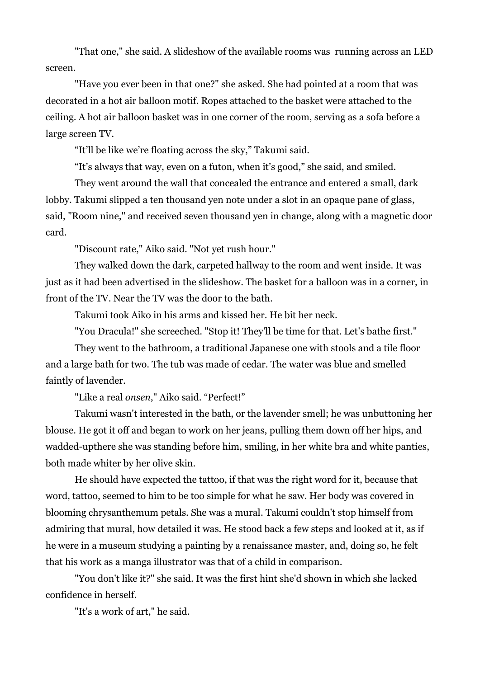"That one," she said. A slideshow of the available rooms was running across an LED screen.

"Have you ever been in that one?" she asked. She had pointed at a room that was decorated in a hot air balloon motif. Ropes attached to the basket were attached to the ceiling. A hot air balloon basket was in one corner of the room, serving as a sofa before a large screen TV.

"It'll be like we're floating across the sky," Takumi said.

"It's always that way, even on a futon, when it's good," she said, and smiled.

They went around the wall that concealed the entrance and entered a small, dark lobby. Takumi slipped a ten thousand yen note under a slot in an opaque pane of glass, said, "Room nine," and received seven thousand yen in change, along with a magnetic door card.

"Discount rate," Aiko said. "Not yet rush hour."

They walked down the dark, carpeted hallway to the room and went inside. It was just as it had been advertised in the slideshow. The basket for a balloon was in a corner, in front of the TV. Near the TV was the door to the bath.

Takumi took Aiko in his arms and kissed her. He bit her neck.

"You Dracula!" she screeched. "Stop it! They'll be time for that. Let's bathe first."

They went to the bathroom, a traditional Japanese one with stools and a tile floor and a large bath for two. The tub was made of cedar. The water was blue and smelled faintly of lavender.

"Like a real *onsen*," Aiko said. "Perfect!"

Takumi wasn't interested in the bath, or the lavender smell; he was unbuttoning her blouse. He got it off and began to work on her jeans, pulling them down off her hips, and wadded-upthere she was standing before him, smiling, in her white bra and white panties, both made whiter by her olive skin.

He should have expected the tattoo, if that was the right word for it, because that word, tattoo, seemed to him to be too simple for what he saw. Her body was covered in blooming chrysanthemum petals. She was a mural. Takumi couldn't stop himself from admiring that mural, how detailed it was. He stood back a few steps and looked at it, as if he were in a museum studying a painting by a renaissance master, and, doing so, he felt that his work as a manga illustrator was that of a child in comparison.

"You don't like it?" she said. It was the first hint she'd shown in which she lacked confidence in herself.

"It's a work of art," he said.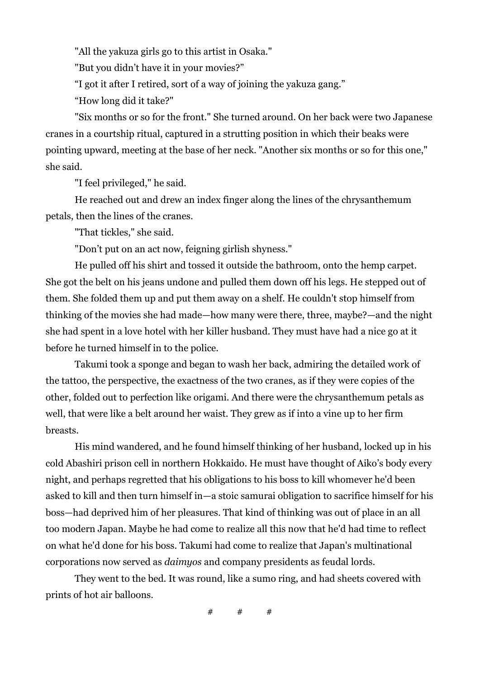"All the yakuza girls go to this artist in Osaka."

"But you didn't have it in your movies?"

"I got it after I retired, sort of a way of joining the yakuza gang."

"How long did it take?"

"Six months or so for the front." She turned around. On her back were two Japanese cranes in a courtship ritual, captured in a strutting position in which their beaks were pointing upward, meeting at the base of her neck. "Another six months or so for this one," she said.

"I feel privileged," he said.

He reached out and drew an index finger along the lines of the chrysanthemum petals, then the lines of the cranes.

"That tickles," she said.

"Don't put on an act now, feigning girlish shyness."

He pulled off his shirt and tossed it outside the bathroom, onto the hemp carpet. She got the belt on his jeans undone and pulled them down off his legs. He stepped out of them. She folded them up and put them away on a shelf. He couldn't stop himself from thinking of the movies she had made—how many were there, three, maybe?—and the night she had spent in a love hotel with her killer husband. They must have had a nice go at it before he turned himself in to the police.

Takumi took a sponge and began to wash her back, admiring the detailed work of the tattoo, the perspective, the exactness of the two cranes, as if they were copies of the other, folded out to perfection like origami. And there were the chrysanthemum petals as well, that were like a belt around her waist. They grew as if into a vine up to her firm breasts.

His mind wandered, and he found himself thinking of her husband, locked up in his cold Abashiri prison cell in northern Hokkaido. He must have thought of Aiko's body every night, and perhaps regretted that his obligations to his boss to kill whomever he'd been asked to kill and then turn himself in—a stoic samurai obligation to sacrifice himself for his boss—had deprived him of her pleasures. That kind of thinking was out of place in an all too modern Japan. Maybe he had come to realize all this now that he'd had time to reflect on what he'd done for his boss. Takumi had come to realize that Japan's multinational corporations now served as *daimyos* and company presidents as feudal lords.

They went to the bed. It was round, like a sumo ring, and had sheets covered with prints of hot air balloons.

 $#$  #  $#$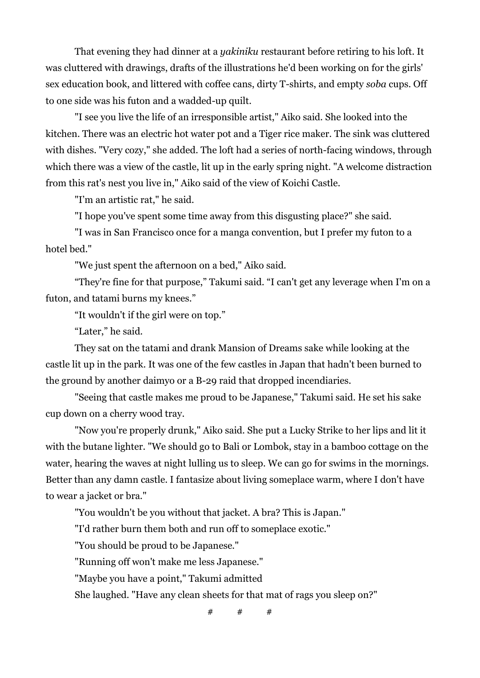That evening they had dinner at a *yakiniku* restaurant before retiring to his loft. It was cluttered with drawings, drafts of the illustrations he'd been working on for the girls' sex education book, and littered with coffee cans, dirty T-shirts, and empty *soba* cups. Off to one side was his futon and a wadded-up quilt.

"I see you live the life of an irresponsible artist," Aiko said. She looked into the kitchen. There was an electric hot water pot and a Tiger rice maker. The sink was cluttered with dishes. "Very cozy," she added. The loft had a series of north-facing windows, through which there was a view of the castle, lit up in the early spring night. "A welcome distraction from this rat's nest you live in," Aiko said of the view of Koichi Castle.

"I'm an artistic rat," he said.

"I hope you've spent some time away from this disgusting place?" she said.

"I was in San Francisco once for a manga convention, but I prefer my futon to a hotel bed."

"We just spent the afternoon on a bed," Aiko said.

"They're fine for that purpose," Takumi said. "I can't get any leverage when I'm on a futon, and tatami burns my knees."

"It wouldn't if the girl were on top."

"Later," he said.

They sat on the tatami and drank Mansion of Dreams sake while looking at the castle lit up in the park. It was one of the few castles in Japan that hadn't been burned to the ground by another daimyo or a B-29 raid that dropped incendiaries.

"Seeing that castle makes me proud to be Japanese," Takumi said. He set his sake cup down on a cherry wood tray.

"Now you're properly drunk," Aiko said. She put a Lucky Strike to her lips and lit it with the butane lighter. "We should go to Bali or Lombok, stay in a bamboo cottage on the water, hearing the waves at night lulling us to sleep. We can go for swims in the mornings. Better than any damn castle. I fantasize about living someplace warm, where I don't have to wear a jacket or bra."

"You wouldn't be you without that jacket. A bra? This is Japan."

"I'd rather burn them both and run off to someplace exotic."

"You should be proud to be Japanese."

"Running off won't make me less Japanese."

"Maybe you have a point," Takumi admitted

She laughed. "Have any clean sheets for that mat of rags you sleep on?"

 $#$  #  $#$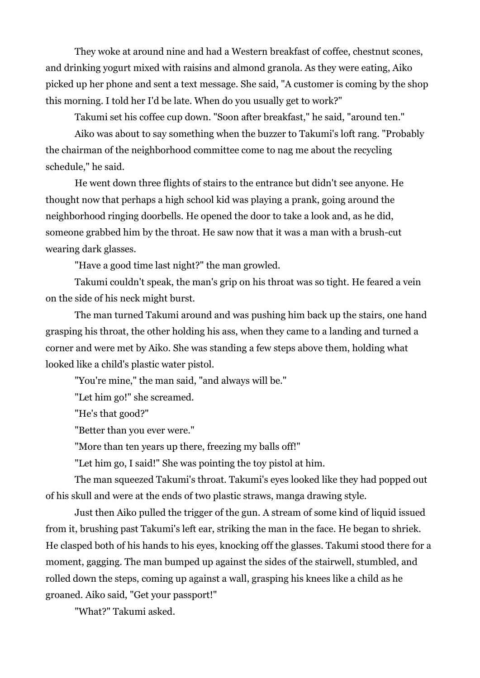They woke at around nine and had a Western breakfast of coffee, chestnut scones, and drinking yogurt mixed with raisins and almond granola. As they were eating, Aiko picked up her phone and sent a text message. She said, "A customer is coming by the shop this morning. I told her I'd be late. When do you usually get to work?"

Takumi set his coffee cup down. "Soon after breakfast," he said, "around ten."

Aiko was about to say something when the buzzer to Takumi's loft rang. "Probably the chairman of the neighborhood committee come to nag me about the recycling schedule," he said.

He went down three flights of stairs to the entrance but didn't see anyone. He thought now that perhaps a high school kid was playing a prank, going around the neighborhood ringing doorbells. He opened the door to take a look and, as he did, someone grabbed him by the throat. He saw now that it was a man with a brush-cut wearing dark glasses.

"Have a good time last night?" the man growled.

Takumi couldn't speak, the man's grip on his throat was so tight. He feared a vein on the side of his neck might burst.

The man turned Takumi around and was pushing him back up the stairs, one hand grasping his throat, the other holding his ass, when they came to a landing and turned a corner and were met by Aiko. She was standing a few steps above them, holding what looked like a child's plastic water pistol.

"You're mine," the man said, "and always will be."

"Let him go!" she screamed.

"He's that good?"

"Better than you ever were."

"More than ten years up there, freezing my balls off!"

"Let him go, I said!" She was pointing the toy pistol at him.

The man squeezed Takumi's throat. Takumi's eyes looked like they had popped out of his skull and were at the ends of two plastic straws, manga drawing style.

Just then Aiko pulled the trigger of the gun. A stream of some kind of liquid issued from it, brushing past Takumi's left ear, striking the man in the face. He began to shriek. He clasped both of his hands to his eyes, knocking off the glasses. Takumi stood there for a moment, gagging. The man bumped up against the sides of the stairwell, stumbled, and rolled down the steps, coming up against a wall, grasping his knees like a child as he groaned. Aiko said, "Get your passport!"

"What?" Takumi asked.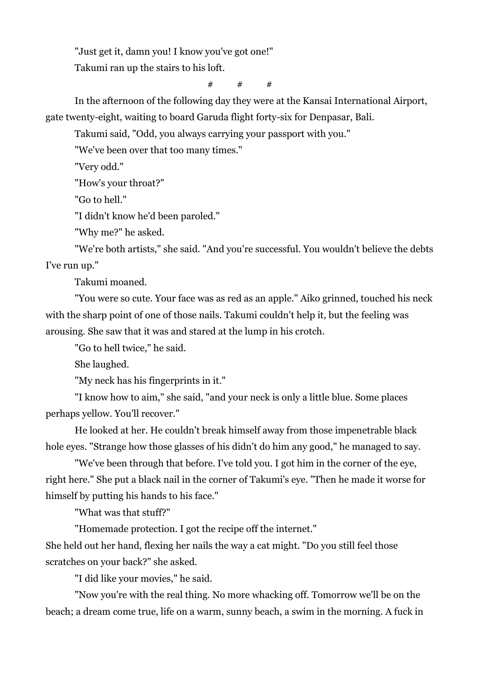"Just get it, damn you! I know you've got one!"

Takumi ran up the stairs to his loft.

 $#$  #

In the afternoon of the following day they were at the Kansai International Airport, gate twenty-eight, waiting to board Garuda flight forty-six for Denpasar, Bali.

Takumi said, "Odd, you always carrying your passport with you."

"We've been over that too many times."

"Very odd."

"How's your throat?"

"Go to hell."

"I didn't know he'd been paroled."

"Why me?" he asked.

"We're both artists," she said. "And you're successful. You wouldn't believe the debts I've run up."

Takumi moaned.

"You were so cute. Your face was as red as an apple." Aiko grinned, touched his neck with the sharp point of one of those nails. Takumi couldn't help it, but the feeling was arousing. She saw that it was and stared at the lump in his crotch.

"Go to hell twice," he said.

She laughed.

"My neck has his fingerprints in it."

"I know how to aim," she said, "and your neck is only a little blue. Some places perhaps yellow. You'll recover."

He looked at her. He couldn't break himself away from those impenetrable black hole eyes. "Strange how those glasses of his didn't do him any good," he managed to say.

"We've been through that before. I've told you. I got him in the corner of the eye, right here." She put a black nail in the corner of Takumi's eye. "Then he made it worse for himself by putting his hands to his face."

"What was that stuff?"

"Homemade protection. I got the recipe off the internet."

She held out her hand, flexing her nails the way a cat might. "Do you still feel those scratches on your back?" she asked.

"I did like your movies," he said.

"Now you're with the real thing. No more whacking off. Tomorrow we'll be on the beach; a dream come true, life on a warm, sunny beach, a swim in the morning. A fuck in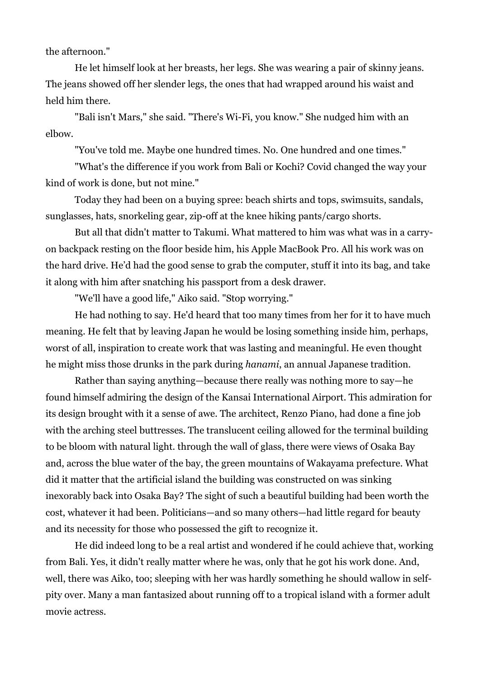the afternoon."

He let himself look at her breasts, her legs. She was wearing a pair of skinny jeans. The jeans showed off her slender legs, the ones that had wrapped around his waist and held him there.

"Bali isn't Mars," she said. "There's Wi-Fi, you know." She nudged him with an elbow.

"You've told me. Maybe one hundred times. No. One hundred and one times."

"What's the difference if you work from Bali or Kochi? Covid changed the way your kind of work is done, but not mine."

Today they had been on a buying spree: beach shirts and tops, swimsuits, sandals, sunglasses, hats, snorkeling gear, zip-off at the knee hiking pants/cargo shorts.

But all that didn't matter to Takumi. What mattered to him was what was in a carryon backpack resting on the floor beside him, his Apple MacBook Pro. All his work was on the hard drive. He'd had the good sense to grab the computer, stuff it into its bag, and take it along with him after snatching his passport from a desk drawer.

"We'll have a good life," Aiko said. "Stop worrying."

He had nothing to say. He'd heard that too many times from her for it to have much meaning. He felt that by leaving Japan he would be losing something inside him, perhaps, worst of all, inspiration to create work that was lasting and meaningful. He even thought he might miss those drunks in the park during *hanami*, an annual Japanese tradition.

Rather than saying anything—because there really was nothing more to say—he found himself admiring the design of the Kansai International Airport. This admiration for its design brought with it a sense of awe. The architect, Renzo Piano, had done a fine job with the arching steel buttresses. The translucent ceiling allowed for the terminal building to be bloom with natural light. through the wall of glass, there were views of Osaka Bay and, across the blue water of the bay, the green mountains of Wakayama prefecture. What did it matter that the artificial island the building was constructed on was sinking inexorably back into Osaka Bay? The sight of such a beautiful building had been worth the cost, whatever it had been. Politicians—and so many others—had little regard for beauty and its necessity for those who possessed the gift to recognize it.

He did indeed long to be a real artist and wondered if he could achieve that, working from Bali. Yes, it didn't really matter where he was, only that he got his work done. And, well, there was Aiko, too; sleeping with her was hardly something he should wallow in selfpity over. Many a man fantasized about running off to a tropical island with a former adult movie actress.